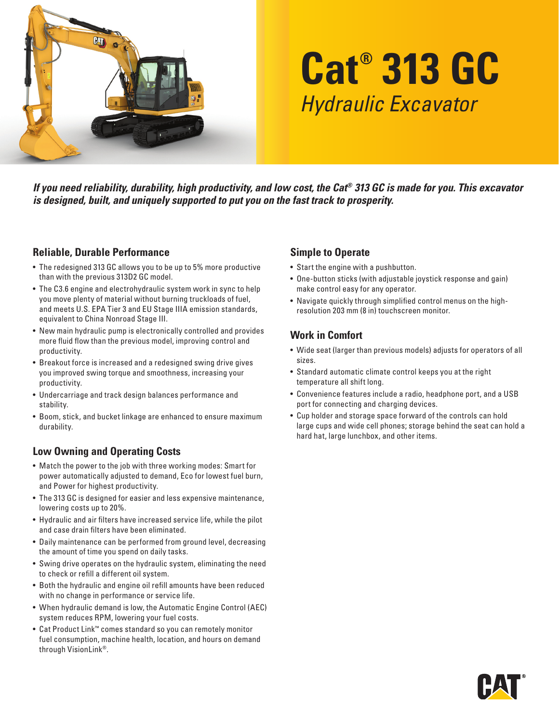

# **Cat® 313 GC** *Hydraulic Excavator*

*If you need reliability, durability, high productivity, and low cost, the Cat® 313 GC is made for you. This excavator is designed, built, and uniquely supported to put you on the fast track to prosperity.*

## **Reliable, Durable Performance**

- The redesigned 313 GC allows you to be up to 5% more productive than with the previous 313D2 GC model.
- The C3.6 engine and electrohydraulic system work in sync to help you move plenty of material without burning truckloads of fuel, and meets U.S. EPA Tier 3 and EU Stage IIIA emission standards, equivalent to China Nonroad Stage III.
- New main hydraulic pump is electronically controlled and provides more fluid flow than the previous model, improving control and productivity.
- Breakout force is increased and a redesigned swing drive gives you improved swing torque and smoothness, increasing your productivity.
- Undercarriage and track design balances performance and stability.
- Boom, stick, and bucket linkage are enhanced to ensure maximum durability.

#### **Low Owning and Operating Costs**

- Match the power to the job with three working modes: Smart for power automatically adjusted to demand, Eco for lowest fuel burn, and Power for highest productivity.
- The 313 GC is designed for easier and less expensive maintenance, lowering costs up to 20%.
- Hydraulic and air filters have increased service life, while the pilot and case drain filters have been eliminated.
- Daily maintenance can be performed from ground level, decreasing the amount of time you spend on daily tasks.
- Swing drive operates on the hydraulic system, eliminating the need to check or refill a different oil system.
- Both the hydraulic and engine oil refill amounts have been reduced with no change in performance or service life.
- When hydraulic demand is low, the Automatic Engine Control (AEC) system reduces RPM, lowering your fuel costs.
- Cat Product Link™ comes standard so you can remotely monitor fuel consumption, machine health, location, and hours on demand through VisionLink®.

## **Simple to Operate**

- Start the engine with a pushbutton.
- One-button sticks (with adjustable joystick response and gain) make control easy for any operator.
- Navigate quickly through simplified control menus on the highresolution 203 mm (8 in) touchscreen monitor.

## **Work in Comfort**

- Wide seat (larger than previous models) adjusts for operators of all sizes.
- Standard automatic climate control keeps you at the right temperature all shift long.
- Convenience features include a radio, headphone port, and a USB port for connecting and charging devices.
- Cup holder and storage space forward of the controls can hold large cups and wide cell phones; storage behind the seat can hold a hard hat, large lunchbox, and other items.

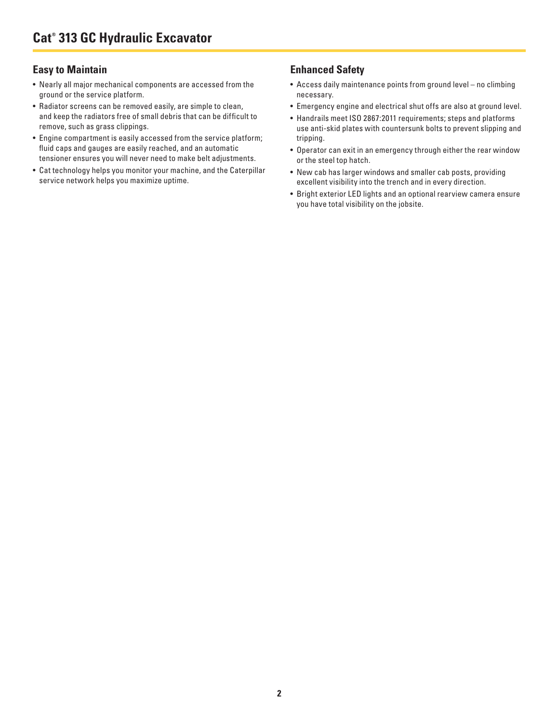#### **Easy to Maintain**

- Nearly all major mechanical components are accessed from the ground or the service platform.
- Radiator screens can be removed easily, are simple to clean, and keep the radiators free of small debris that can be difficult to remove, such as grass clippings.
- Engine compartment is easily accessed from the service platform; fluid caps and gauges are easily reached, and an automatic tensioner ensures you will never need to make belt adjustments.
- Cat technology helps you monitor your machine, and the Caterpillar service network helps you maximize uptime.

#### **Enhanced Safety**

- Access daily maintenance points from ground level no climbing necessary.
- Emergency engine and electrical shut offs are also at ground level.
- Handrails meet ISO 2867:2011 requirements; steps and platforms use anti-skid plates with countersunk bolts to prevent slipping and tripping.
- Operator can exit in an emergency through either the rear window or the steel top hatch.
- New cab has larger windows and smaller cab posts, providing excellent visibility into the trench and in every direction.
- Bright exterior LED lights and an optional rearview camera ensure you have total visibility on the jobsite.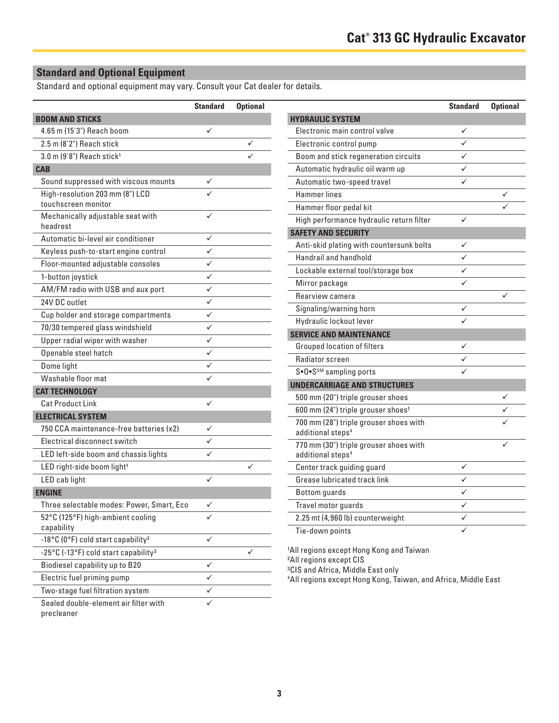# **Standard and Optional Equipment**

Standard and optional equipment may vary. Consult your Cat dealer for details.

|                                                        | <b>Standard</b> | <b>Optional</b> |
|--------------------------------------------------------|-----------------|-----------------|
| <b>BOOM AND STICKS</b>                                 |                 |                 |
| 4.65 m (15'3") Reach boom                              | ✓               |                 |
| 2.5 m (8'2") Reach stick                               |                 |                 |
| 3.0 m (9'8") Reach stick <sup>1</sup>                  |                 |                 |
| <b>CAB</b>                                             |                 |                 |
| Sound suppressed with viscous mounts                   | ✓               |                 |
| High-resolution 203 mm (8") LCD<br>touchscreen monitor |                 |                 |
| Mechanically adjustable seat with<br>headrest          |                 |                 |
| Automatic bi-level air conditioner                     | ✓               |                 |
| Keyless push-to-start engine control                   |                 |                 |
| Floor-mounted adjustable consoles                      | ✓               |                 |
| 1-button joystick                                      |                 |                 |
| AM/FM radio with USB and aux port                      | ✓               |                 |
| 24V DC outlet                                          | ✓               |                 |
| Cup holder and storage compartments                    | ✓               |                 |
| 70/30 tempered glass windshield                        | ✓               |                 |
| Upper radial wiper with washer                         | ✓               |                 |
| Openable steel hatch                                   |                 |                 |
| Dome light                                             |                 |                 |
| Washable floor mat                                     | ✓               |                 |
| <b>CAT TECHNOLOGY</b>                                  |                 |                 |
| <b>Cat Product Link</b>                                |                 |                 |
| <b>ELECTRICAL SYSTEM</b>                               |                 |                 |
| 750 CCA maintenance-free batteries (x2)                |                 |                 |
| Electrical disconnect switch                           |                 |                 |
| LED left-side boom and chassis lights                  |                 |                 |
| LED right-side boom light <sup>1</sup>                 |                 |                 |
| LED cab light                                          |                 |                 |
| <b>ENGINE</b>                                          |                 |                 |
| Three selectable modes: Power, Smart, Eco              | ✓               |                 |
| 52°C (125°F) high-ambient cooling                      |                 |                 |
| capability                                             |                 |                 |
| -18°C (0°F) cold start capability <sup>2</sup>         |                 |                 |
| -25°C (-13°F) cold start capability <sup>3</sup>       |                 |                 |
| Biodiesel capability up to B20                         | ✓               |                 |
| Electric fuel priming pump                             |                 |                 |
| Two-stage fuel filtration system                       |                 |                 |
| Sealed double-element air filter with<br>precleaner    |                 |                 |

| <b>Standard</b> | <b>Optional</b> |                                                            | <b>Standard</b> | <b>Optional</b> |
|-----------------|-----------------|------------------------------------------------------------|-----------------|-----------------|
|                 |                 | <b>HYDRAULIC SYSTEM</b>                                    |                 |                 |
| ✓               |                 | Electronic main control valve                              | ✓               |                 |
|                 | ✓               | Electronic control pump                                    | ✓               |                 |
|                 |                 | Boom and stick regeneration circuits                       | ✓               |                 |
|                 |                 | Automatic hydraulic oil warm up                            | ✓               |                 |
|                 |                 | Automatic two-speed travel                                 | ✓               |                 |
|                 |                 | <b>Hammer lines</b>                                        |                 |                 |
|                 |                 | Hammer floor pedal kit                                     |                 |                 |
|                 |                 | High performance hydraulic return filter                   | ✓               |                 |
| ✓               |                 | <b>SAFETY AND SECURITY</b>                                 |                 |                 |
| ✓               |                 | Anti-skid plating with countersunk bolts                   | ✓               |                 |
| ✓               |                 | Handrail and handhold                                      |                 |                 |
| ✓               |                 | Lockable external tool/storage box                         | ✓               |                 |
| ✓               |                 | Mirror package                                             | ✓               |                 |
| $\checkmark$    |                 | Rearview camera                                            |                 | ✓               |
| ✓               |                 | Signaling/warning horn                                     | ✓               |                 |
| ✓               |                 | Hydraulic lockout lever                                    | ✓               |                 |
| ✓               |                 | <b>SERVICE AND MAINTENANCE</b>                             |                 |                 |
| ✓               |                 | <b>Grouped location of filters</b>                         | ✓               |                 |
| ✓               |                 | Radiator screen                                            |                 |                 |
|                 |                 | S•O•S <sup>SM</sup> sampling ports                         |                 |                 |
| ✓               |                 | <b>UNDERCARRIAGE AND STRUCTURES</b>                        |                 |                 |
| ✓               |                 | 500 mm (20") triple grouser shoes                          |                 |                 |
|                 |                 | 600 mm (24") triple grouser shoes <sup>1</sup>             |                 |                 |
| ✓               |                 | 700 mm (28") triple grouser shoes with                     |                 |                 |
| ✓               |                 | additional steps <sup>4</sup>                              |                 |                 |
| ✓               |                 | 770 mm (30") triple grouser shoes with                     |                 |                 |
|                 | ✓               | additional steps <sup>4</sup>                              | ✓               |                 |
| ✓               |                 | Center track guiding guard<br>Grease lubricated track link | ✓               |                 |
|                 |                 |                                                            | ✓               |                 |
|                 |                 | <b>Bottom</b> guards                                       |                 |                 |
| ✓               |                 | Travel motor guards                                        | ✓               |                 |
|                 |                 | 2.25 mt (4,960 lb) counterweight                           | ✓               |                 |
|                 |                 | Tie-down points                                            | ✓               |                 |

1All regions except Hong Kong and Taiwan

2All regions except CIS

3CIS and Africa, Middle East only

4 All regions except Hong Kong, Taiwan, and Africa, Middle East